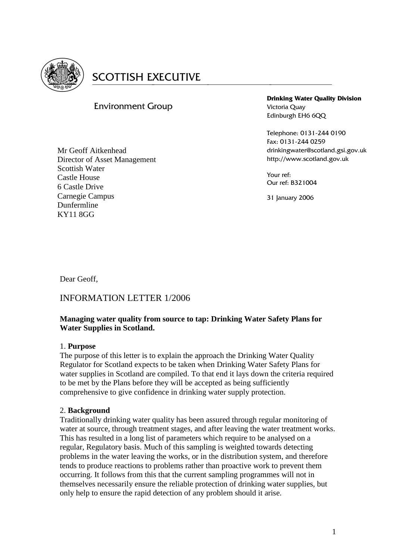

# **SCOTTISH EXECUTIVE**

# Environment Group

Mr Geoff Aitkenhead Director of Asset Management Scottish Water Castle House 6 Castle Drive Carnegie Campus Dunfermline KY11 8GG

**Drinking Water Quality Division** Victoria Quay Edinburgh EH6 6QQ

Telephone: 0131-244 0190 Fax: 0131-244 0259 drinkingwater@scotland.gsi.gov.uk http://www.scotland.gov.uk

Your ref: Our ref: B321004

31 January 2006

Dear Geoff,

# INFORMATION LETTER 1/2006

# **Managing water quality from source to tap: Drinking Water Safety Plans for Water Supplies in Scotland.**

# 1. **Purpose**

The purpose of this letter is to explain the approach the Drinking Water Quality Regulator for Scotland expects to be taken when Drinking Water Safety Plans for water supplies in Scotland are compiled. To that end it lays down the criteria required to be met by the Plans before they will be accepted as being sufficiently comprehensive to give confidence in drinking water supply protection.

# 2. **Background**

Traditionally drinking water quality has been assured through regular monitoring of water at source, through treatment stages, and after leaving the water treatment works. This has resulted in a long list of parameters which require to be analysed on a regular, Regulatory basis. Much of this sampling is weighted towards detecting problems in the water leaving the works, or in the distribution system, and therefore tends to produce reactions to problems rather than proactive work to prevent them occurring. It follows from this that the current sampling programmes will not in themselves necessarily ensure the reliable protection of drinking water supplies, but only help to ensure the rapid detection of any problem should it arise.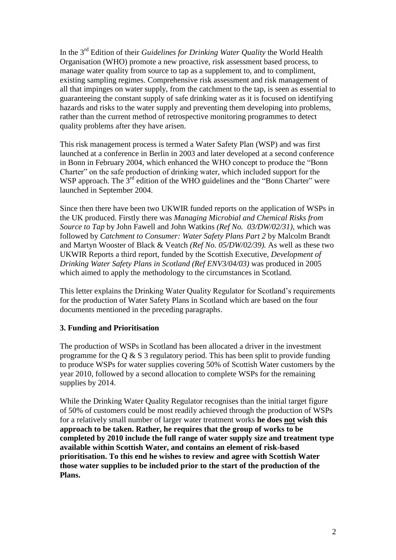In the 3<sup>rd</sup> Edition of their *Guidelines for Drinking Water Quality* the World Health Organisation (WHO) promote a new proactive, risk assessment based process, to manage water quality from source to tap as a supplement to, and to compliment, existing sampling regimes. Comprehensive risk assessment and risk management of all that impinges on water supply, from the catchment to the tap, is seen as essential to guaranteeing the constant supply of safe drinking water as it is focused on identifying hazards and risks to the water supply and preventing them developing into problems, rather than the current method of retrospective monitoring programmes to detect quality problems after they have arisen.

This risk management process is termed a Water Safety Plan (WSP) and was first launched at a conference in Berlin in 2003 and later developed at a second conference in Bonn in February 2004, which enhanced the WHO concept to produce the "Bonn Charter" on the safe production of drinking water, which included support for the WSP approach. The 3<sup>rd</sup> edition of the WHO guidelines and the "Bonn Charter" were launched in September 2004.

Since then there have been two UKWIR funded reports on the application of WSPs in the UK produced. Firstly there was *Managing Microbial and Chemical Risks from Source to Tap* by John Fawell and John Watkins *(Ref No. 03/DW/02/31)*, which was followed by *Catchment to Consumer: Water Safety Plans Part 2* by Malcolm Brandt and Martyn Wooster of Black & Veatch *(Ref No. 05/DW/02/39).* As well as these two UKWIR Reports a third report, funded by the Scottish Executive, *Development of Drinking Water Safety Plans in Scotland (Ref ENV3/04/03)* was produced in 2005 which aimed to apply the methodology to the circumstances in Scotland*.*

This letter explains the Drinking Water Quality Regulator for Scotland's requirements for the production of Water Safety Plans in Scotland which are based on the four documents mentioned in the preceding paragraphs.

#### **3. Funding and Prioritisation**

The production of WSPs in Scotland has been allocated a driver in the investment programme for the Q  $\&$  S 3 regulatory period. This has been split to provide funding to produce WSPs for water supplies covering 50% of Scottish Water customers by the year 2010, followed by a second allocation to complete WSPs for the remaining supplies by 2014.

While the Drinking Water Quality Regulator recognises than the initial target figure of 50% of customers could be most readily achieved through the production of WSPs for a relatively small number of larger water treatment works **he does not wish this approach to be taken. Rather, he requires that the group of works to be completed by 2010 include the full range of water supply size and treatment type available within Scottish Water, and contains an element of risk-based prioritisation. To this end he wishes to review and agree with Scottish Water those water supplies to be included prior to the start of the production of the Plans.**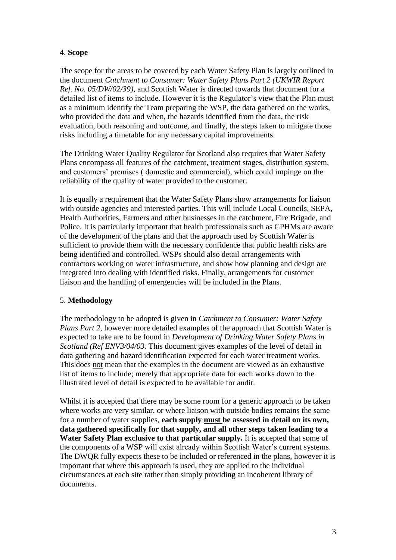#### 4. **Scope**

The scope for the areas to be covered by each Water Safety Plan is largely outlined in the document *Catchment to Consumer: Water Safety Plans Part 2 (UKWIR Report Ref. No. 05/DW/02/39),* and Scottish Water is directed towards that document for a detailed list of items to include. However it is the Regulator's view that the Plan must as a minimum identify the Team preparing the WSP, the data gathered on the works, who provided the data and when, the hazards identified from the data, the risk evaluation, both reasoning and outcome, and finally, the steps taken to mitigate those risks including a timetable for any necessary capital improvements.

The Drinking Water Quality Regulator for Scotland also requires that Water Safety Plans encompass all features of the catchment, treatment stages, distribution system, and customers' premises ( domestic and commercial), which could impinge on the reliability of the quality of water provided to the customer.

It is equally a requirement that the Water Safety Plans show arrangements for liaison with outside agencies and interested parties. This will include Local Councils, SEPA, Health Authorities, Farmers and other businesses in the catchment, Fire Brigade, and Police. It is particularly important that health professionals such as CPHMs are aware of the development of the plans and that the approach used by Scottish Water is sufficient to provide them with the necessary confidence that public health risks are being identified and controlled. WSPs should also detail arrangements with contractors working on water infrastructure, and show how planning and design are integrated into dealing with identified risks. Finally, arrangements for customer liaison and the handling of emergencies will be included in the Plans.

# 5. **Methodology**

The methodology to be adopted is given in *Catchment to Consumer: Water Safety Plans Part 2*, however more detailed examples of the approach that Scottish Water is expected to take are to be found in *Development of Drinking Water Safety Plans in Scotland (Ref ENV3/04/03.* This document gives examples of the level of detail in data gathering and hazard identification expected for each water treatment works. This does not mean that the examples in the document are viewed as an exhaustive list of items to include; merely that appropriate data for each works down to the illustrated level of detail is expected to be available for audit.

Whilst it is accepted that there may be some room for a generic approach to be taken where works are very similar, or where liaison with outside bodies remains the same for a number of water supplies, **each supply must be assessed in detail on its own, data gathered specifically for that supply, and all other steps taken leading to a Water Safety Plan exclusive to that particular supply.** It is accepted that some of the components of a WSP will exist already within Scottish Water's current systems. The DWQR fully expects these to be included or referenced in the plans, however it is important that where this approach is used, they are applied to the individual circumstances at each site rather than simply providing an incoherent library of documents.